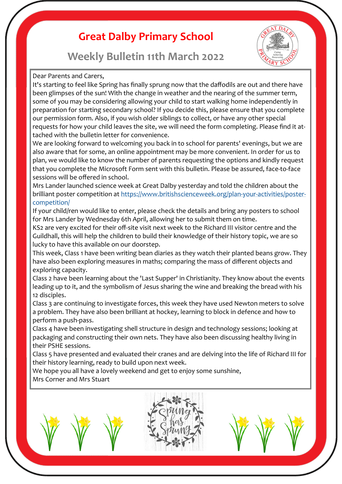# **Great Dalby Primary School**





Dear Parents and Carers,

It's starting to feel like Spring has finally sprung now that the daffodils are out and there have been glimpses of the sun! With the change in weather and the nearing of the summer term, some of you may be considering allowing your child to start walking home independently in preparation for starting secondary school? If you decide this, please ensure that you complete our permission form. Also, if you wish older siblings to collect, or have any other special requests for how your child leaves the site, we will need the form completing. Please find it attached with the bulletin letter for convenience.

We are looking forward to welcoming you back in to school for parents' evenings, but we are also aware that for some, an online appointment may be more convenient. In order for us to plan, we would like to know the number of parents requesting the options and kindly request that you complete the Microsoft Form sent with this bulletin. Please be assured, face-to-face sessions will be offered in school.

Mrs Lander launched science week at Great Dalby yesterday and told the children about the brilliant poster competition at [https://www.britishscienceweek.org/plan](https://www.britishscienceweek.org/plan-your-activities/poster-competition/)-your-activities/poster[competition/](https://www.britishscienceweek.org/plan-your-activities/poster-competition/)

If your child/ren would like to enter, please check the details and bring any posters to school for Mrs Lander by Wednesday 6th April, allowing her to submit them on time.

KS2 are very excited for their off-site visit next week to the Richard III visitor centre and the Guildhall, this will help the children to build their knowledge of their history topic, we are so lucky to have this available on our doorstep.

This week, Class 1 have been writing bean diaries as they watch their planted beans grow. They have also been exploring measures in maths; comparing the mass of different objects and exploring capacity.

Class 2 have been learning about the 'Last Supper' in Christianity. They know about the events leading up to it, and the symbolism of Jesus sharing the wine and breaking the bread with his 12 disciples.

Class 3 are continuing to investigate forces, this week they have used Newton meters to solve a problem. They have also been brilliant at hockey, learning to block in defence and how to perform a push-pass.

Class 4 have been investigating shell structure in design and technology sessions; looking at packaging and constructing their own nets. They have also been discussing healthy living in their PSHE sessions.

Class 5 have presented and evaluated their cranes and are delving into the life of Richard III for their history learning, ready to build upon next week.

We hope you all have a lovely weekend and get to enjoy some sunshine, Mrs Corner and Mrs Stuart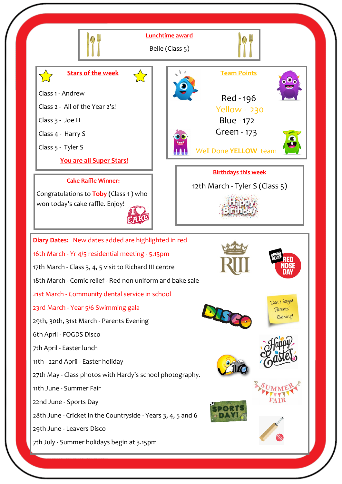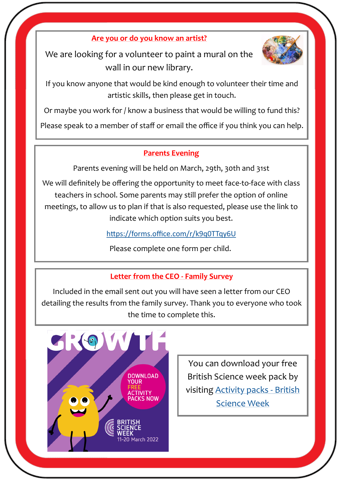**Are you or do you know an artist?** 

We are looking for a volunteer to paint a mural on the wall in our new library.



If you know anyone that would be kind enough to volunteer their time and artistic skills, then please get in touch.

Or maybe you work for / know a business that would be willing to fund this?

Please speak to a member of staff or email the office if you think you can help.

#### **Parents Evening**

Parents evening will be held on March, 29th, 30th and 31st

We will definitely be offering the opportunity to meet face-to-face with class teachers in school. Some parents may still prefer the option of online meetings, to allow us to plan if that is also requested, please use the link to indicate which option suits you best.

<https://forms.office.com/r/k9q0TTqy6U>

Please complete one form per child.

#### **Letter from the CEO - Family Survey**

Included in the email sent out you will have seen a letter from our CEO detailing the results from the family survey. Thank you to everyone who took the time to complete this.



You can download your free British Science week pack by visiting [Activity packs](https://www.britishscienceweek.org/plan-your-activities/activity-packs/) - British [Science Week](https://www.britishscienceweek.org/plan-your-activities/activity-packs/)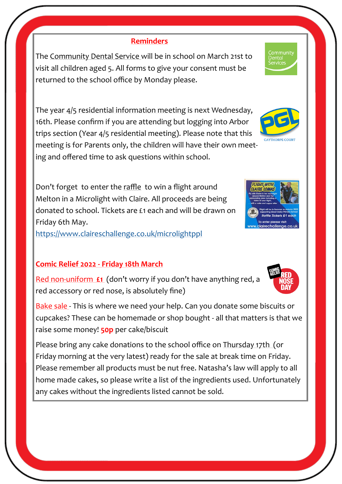#### **Reminders**

The Community Dental Service will be in school on March 21st to visit all children aged 5. All forms to give your consent must be returned to the school office by Monday please.

The year 4/5 residential information meeting is next Wednesday, 16th. Please confirm if you are attending but logging into Arbor trips section (Year 4/5 residential meeting). Please note that this meeting is for Parents only, the children will have their own meeting and offered time to ask questions within school.

Don't forget to enter the raffle to win a flight around Melton in a Microlight with Claire. All proceeds are being donated to school. Tickets are £1 each and will be drawn on Friday 6th May.

<https://www.claireschallenge.co.uk/microlightppl>

### **Comic Relief 2022 - Friday 18th March**

Red non-uniform **£1** (don't worry if you don't have anything red, a red accessory or red nose, is absolutely fine)

Bake sale - This is where we need your help. Can you donate some biscuits or cupcakes? These can be homemade or shop bought - all that matters is that we raise some money! **50p** per cake/biscuit

Please bring any cake donations to the school office on Thursday 17th (or Friday morning at the very latest) ready for the sale at break time on Friday. Please remember all products must be nut free. Natasha's law will apply to all home made cakes, so please write a list of the ingredients used. Unfortunately any cakes without the ingredients listed cannot be sold.